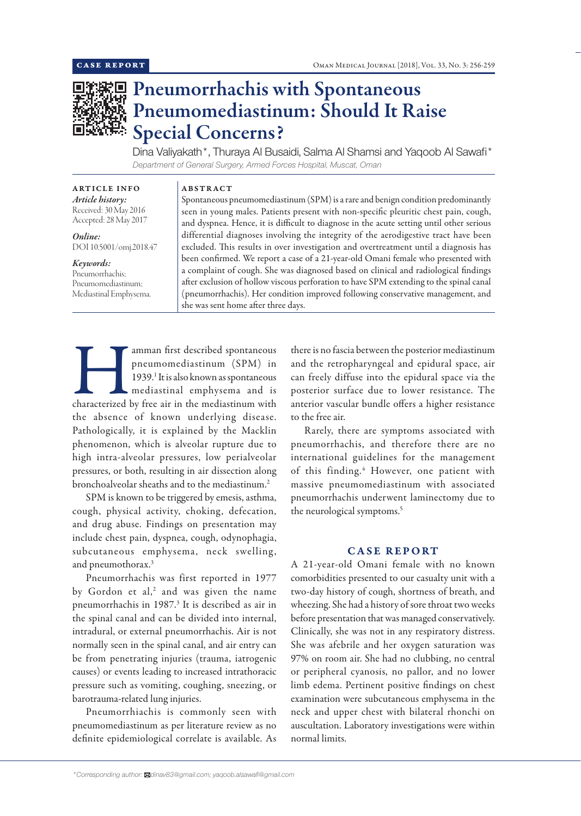

# Pneumorrhachis with Spontaneous Pneumomediastinum: Should It Raise Special Concerns?

Dina Valiyakath\*, Thuraya Al Busaidi, Salma Al Shamsi and Yaqoob Al Sawafi\* *Department of General Surgery, Armed Forces Hospital, Muscat, Oman*

ARTICLE INFO *Article history:* Received: 30 May 2016 Accepted: 28 May 2017

*Online:* DOI 10.5001/omj.2018.47

## *Keywords:*

Pneumorrhachis; Pneumomediastinum; Mediastinal Emphysema.

Spontaneous pneumomediastinum (SPM) is a rare and benign condition predominantly seen in young males. Patients present with non-specific pleuritic chest pain, cough, and dyspnea. Hence, it is difficult to diagnose in the acute setting until other serious differential diagnoses involving the integrity of the aerodigestive tract have been excluded. This results in over investigation and overtreatment until a diagnosis has been confirmed. We report a case of a 21-year-old Omani female who presented with a complaint of cough. She was diagnosed based on clinical and radiological findings after exclusion of hollow viscous perforation to have SPM extending to the spinal canal (pneumorrhachis). Her condition improved following conservative management, and she was sent home after three days.

Famman first described spontaneous<br>
pneumomediastinum (SPM) in<br>
1939. It is also known as spontaneous<br>
mediastinal emphysema and is<br>
characterized by free air in the mediastinum with pneumomediastinum (SPM) in 1939.<sup>1</sup> It is also known as spontaneous mediastinal emphysema and is the absence of known underlying disease. Pathologically, it is explained by the Macklin phenomenon, which is alveolar rupture due to high intra-alveolar pressures, low perialveolar pressures, or both, resulting in air dissection along bronchoalveolar sheaths and to the mediastinum.<sup>2</sup>

ABSTRACT

SPM is known to be triggered by emesis, asthma, cough, physical activity, choking, defecation, and drug abuse. Findings on presentation may include chest pain, dyspnea, cough, odynophagia, subcutaneous emphysema, neck swelling, and pneumothorax.<sup>3</sup>

Pneumorrhachis was first reported in 1977 by Gordon et al,<sup>2</sup> and was given the name pneumorrhachis in 1987.<sup>3</sup> It is described as air in the spinal canal and can be divided into internal, intradural, or external pneumorrhachis. Air is not normally seen in the spinal canal, and air entry can be from penetrating injuries (trauma, iatrogenic causes) or events leading to increased intrathoracic pressure such as vomiting, coughing, sneezing, or barotrauma-related lung injuries.

Pneumorrhiachis is commonly seen with pneumomediastinum as per literature review as no definite epidemiological correlate is available. As there is no fascia between the posterior mediastinum and the retropharyngeal and epidural space, air can freely diffuse into the epidural space via the posterior surface due to lower resistance. The anterior vascular bundle offers a higher resistance to the free air.

Rarely, there are symptoms associated with pneumorrhachis, and therefore there are no international guidelines for the management of this finding.<sup>4</sup> However, one patient with massive pneumomediastinum with associated pneumorrhachis underwent laminectomy due to the neurological symptoms.5

### CASE REPORT

A 21-year-old Omani female with no known comorbidities presented to our casualty unit with a two-day history of cough, shortness of breath, and wheezing. She had a history of sore throat two weeks before presentation that was managed conservatively. Clinically, she was not in any respiratory distress. She was afebrile and her oxygen saturation was 97% on room air. She had no clubbing, no central or peripheral cyanosis, no pallor, and no lower limb edema. Pertinent positive findings on chest examination were subcutaneous emphysema in the neck and upper chest with bilateral rhonchi on auscultation. Laboratory investigations were within normal limits.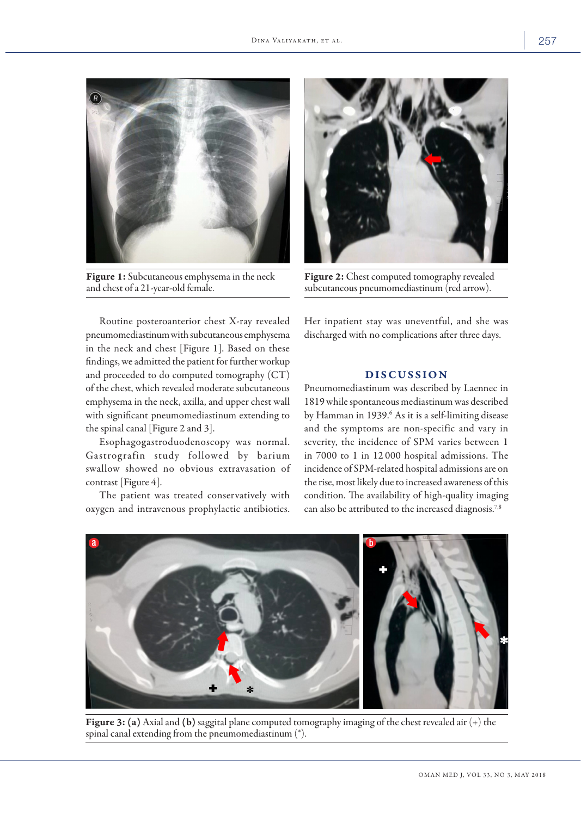

Figure 1: Subcutaneous emphysema in the neck and chest of a 21-year-old female.



Figure 2: Chest computed tomography revealed subcutaneous pneumomediastinum (red arrow).

Routine posteroanterior chest X-ray revealed pneumomediastinum with subcutaneous emphysema in the neck and chest [Figure 1]. Based on these findings, we admitted the patient for further workup and proceeded to do computed tomography (CT) of the chest, which revealed moderate subcutaneous emphysema in the neck, axilla, and upper chest wall with significant pneumomediastinum extending to the spinal canal [Figure 2 and 3].

Esophagogastroduodenoscopy was normal. Gastrografin study followed by barium swallow showed no obvious extravasation of contrast [Figure 4].

The patient was treated conservatively with oxygen and intravenous prophylactic antibiotics. Her inpatient stay was uneventful, and she was discharged with no complications after three days.

## DISCUSSION

Pneumomediastinum was described by Laennec in 1819 while spontaneous mediastinum was described by Hamman in 1939.<sup>6</sup> As it is a self-limiting disease and the symptoms are non-specific and vary in severity, the incidence of SPM varies between 1 in 7000 to 1 in 12 000 hospital admissions. The incidence of SPM-related hospital admissions are on the rise, most likely due to increased awareness of this condition. The availability of high-quality imaging can also be attributed to the increased diagnosis.<sup>7,8</sup>



Figure 3: (a) Axial and (b) saggital plane computed tomography imaging of the chest revealed air (+) the spinal canal extending from the pneumomediastinum (\*).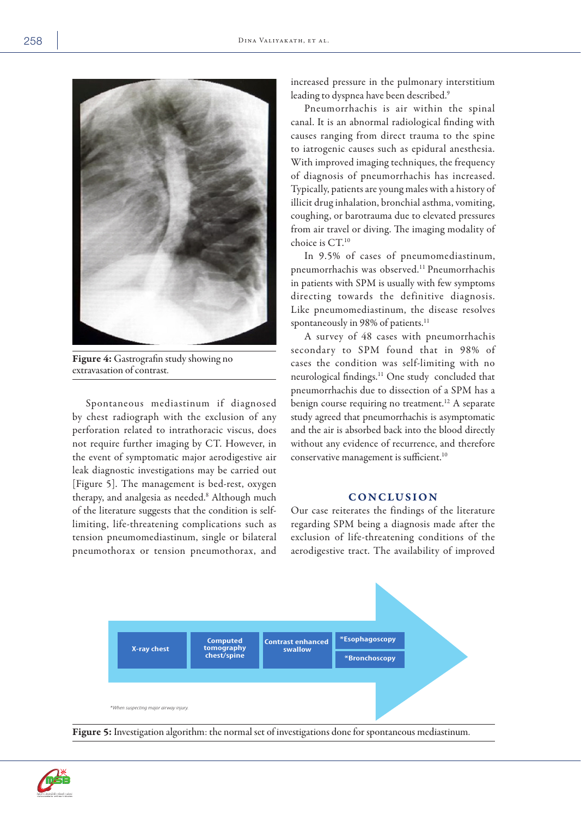

Figure 4: Gastrografin study showing no extravasation of contrast.

Spontaneous mediastinum if diagnosed by chest radiograph with the exclusion of any perforation related to intrathoracic viscus, does not require further imaging by CT. However, in the event of symptomatic major aerodigestive air leak diagnostic investigations may be carried out [Figure 5]. The management is bed-rest, oxygen therapy, and analgesia as needed.8 Although much of the literature suggests that the condition is selflimiting, life-threatening complications such as tension pneumomediastinum, single or bilateral pneumothorax or tension pneumothorax, and

increased pressure in the pulmonary interstitium leading to dyspnea have been described.<sup>9</sup>

Pneumorrhachis is air within the spinal canal. It is an abnormal radiological finding with causes ranging from direct trauma to the spine to iatrogenic causes such as epidural anesthesia. With improved imaging techniques, the frequency of diagnosis of pneumorrhachis has increased. Typically, patients are young males with a history of illicit drug inhalation, bronchial asthma, vomiting, coughing, or barotrauma due to elevated pressures from air travel or diving. The imaging modality of choice is CT.10

In 9.5% of cases of pneumomediastinum, pneumorrhachis was observed.11 Pneumorrhachis in patients with SPM is usually with few symptoms directing towards the definitive diagnosis. Like pneumomediastinum, the disease resolves spontaneously in 98% of patients.<sup>11</sup>

A survey of 48 cases with pneumorrhachis secondary to SPM found that in 98% of cases the condition was self-limiting with no neurological findings.11 One study concluded that pneumorrhachis due to dissection of a SPM has a benign course requiring no treatment.<sup>12</sup> A separate study agreed that pneumorrhachis is asymptomatic and the air is absorbed back into the blood directly without any evidence of recurrence, and therefore conservative management is sufficient.<sup>10</sup>

### **CONCLUSION**

Our case reiterates the findings of the literature regarding SPM being a diagnosis made after the exclusion of life-threatening conditions of the aerodigestive tract. The availability of improved



Figure 5: Investigation algorithm: the normal set of investigations done for spontaneous mediastinum.